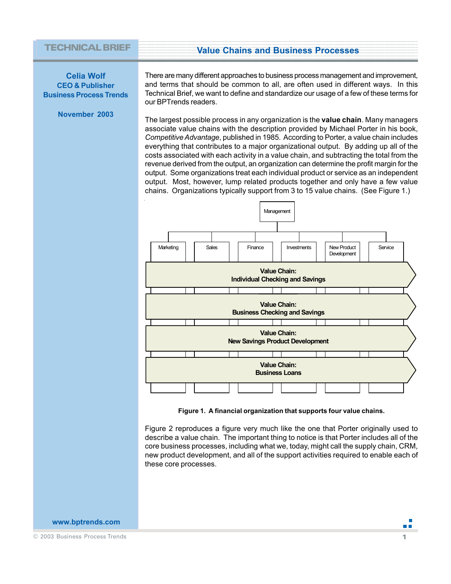#### **Example 20 Value Chains and Business Processes** 1234567890123456789012345678901212345678901234567890123456789012123456789012345678901234567890121234 1234567890123456789012345678901212345678901234567890123456789012123456789012345678901234567890121234 1 de janvier de la companya de la companya de la companya de la companya de la companya de la companya de la c 1234567890123456789012345678901212345678901234567890123456789012123456789012345678901234567890121234 1234567890123456789012345678901212345678901234567890123456789012123456789012345678901234567890121234

#### **TECHNICAL BRIEF**

**Celia Wolf CEO & Publisher Business Process Trends**

**November 2003**

There are many different approaches to business process management and improvement, and terms that should be common to all, are often used in different ways. In this Technical Brief, we want to define and standardize our usage of a few of these terms for our BPTrends readers.

The largest possible process in any organization is the **value chain**. Many managers associate value chains with the description provided by Michael Porter in his book, *Competitive Advantage*, published in 1985. According to Porter, a value chain includes everything that contributes to a major organizational output. By adding up all of the costs associated with each activity in a value chain, and subtracting the total from the revenue derived from the output, an organization can determine the profit margin for the output. Some organizations treat each individual product or service as an independent output. Most, however, lump related products together and only have a few value chains. Organizations typically support from 3 to 15 value chains. (See Figure 1.)



**Figure 1. A financial organization that supports four value chains.**

Figure 2 reproduces a figure very much like the one that Porter originally used to describe a value chain. The important thing to notice is that Porter includes all of the core business processes, including what we, today, might call the supply chain, CRM, new product development, and all of the support activities required to enable each of these core processes.

#### **www.bptrends.com**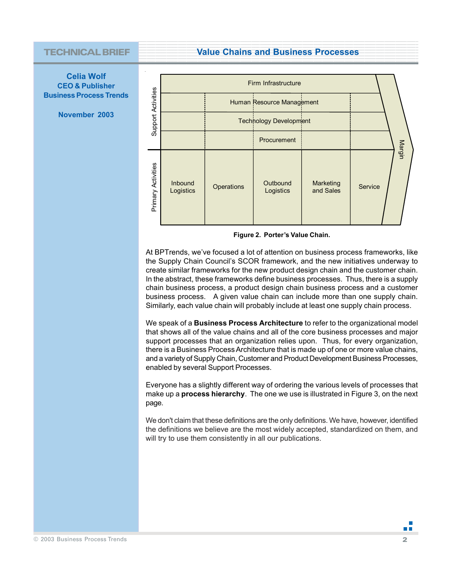## **TECHNICAL BRIEF**

**12345678901234567890123456789012345678901234567890123456789012345678901234567890123456789012345678900123456789001234567890012345678900123456789001234567890012345678900123456789001234567890012345678900123456789001234567890** 



**November 2003**



**Figure 2. Porter's Value Chain.**

At BPTrends, we've focused a lot of attention on business process frameworks, like the Supply Chain Council's SCOR framework, and the new initiatives underway to create similar frameworks for the new product design chain and the customer chain. In the abstract, these frameworks define business processes. Thus, there is a supply chain business process, a product design chain business process and a customer business process. A given value chain can include more than one supply chain. Similarly, each value chain will probably include at least one supply chain process.

We speak of a **Business Process Architecture** to refer to the organizational model that shows all of the value chains and all of the core business processes and major support processes that an organization relies upon. Thus, for every organization, there is a Business Process Architecture that is made up of one or more value chains, and a variety of Supply Chain, Customer and Product Development Business Processes, enabled by several Support Processes.

Everyone has a slightly different way of ordering the various levels of processes that make up a **process hierarchy**. The one we use is illustrated in Figure 3, on the next page.

We don't claim that these definitions are the only definitions. We have, however, identified the definitions we believe are the most widely accepted, standardized on them, and will try to use them consistently in all our publications.